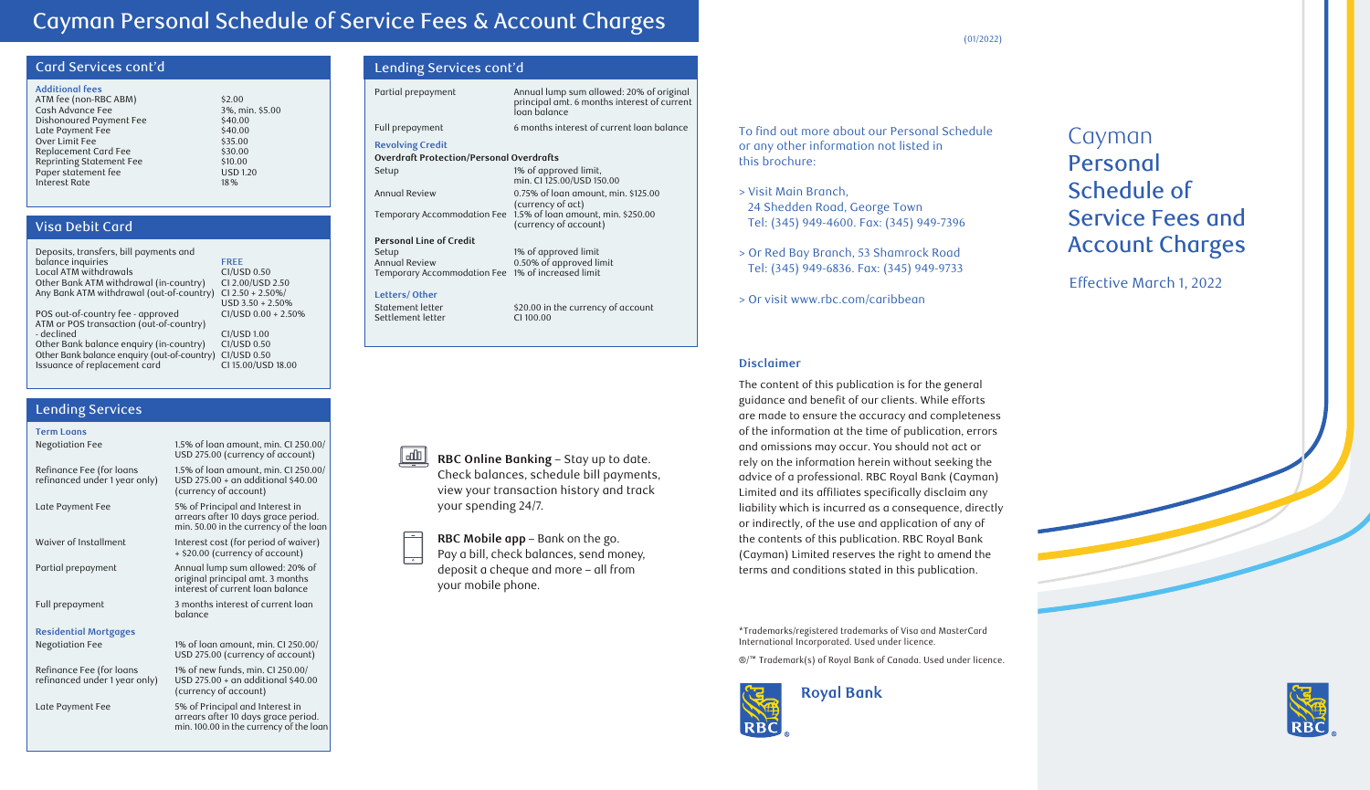# Cayman Personal Schedule of Service Fees & Account Charges

### Card Services cont'd

| <b>Additional fees</b>   |                 |
|--------------------------|-----------------|
| ATM fee (non-RBC ABM)    | \$2.00          |
| Cash Advance Fee         | 3%, min. \$5.00 |
| Dishonoured Payment Fee  | \$40.00         |
| Late Payment Fee         | \$40.00         |
| Over Limit Fee           | \$35.00         |
| Replacement Card Fee     | \$30.00         |
| Reprinting Statement Fee | \$10.00         |
| Paper statement fee      | <b>USD 1.20</b> |
| Interest Rate            | 18%             |

### Visa Debit Card

| Deposits, transfers, bill payments and      |                     |
|---------------------------------------------|---------------------|
| balance inquiries                           | <b>FREE</b>         |
| Local ATM withdrawals                       | CI/USD 0.50         |
| Other Bank ATM withdrawal (in-country)      | CI 2.00/USD 2.50    |
| Any Bank ATM withdrawal (out-of-country)    | $CI$ 2.50 + 2.50%/  |
|                                             | $USD$ 3.50 + 2.50%  |
| POS out-of-country fee - approved           | CI/USD 0.00 + 2.50% |
| ATM or POS transaction (out-of-country)     |                     |
| - declined                                  | <b>CI/USD 1.00</b>  |
| Other Bank balance enguiry (in-country)     | CI/USD 0.50         |
| Other Bank balance enquiry (out-of-country) | CI/USD 0.50         |
| Issuance of replacement card                | CI 15.00/USD 18.00  |
|                                             |                     |

### Lending Services

| <b>Term Loans</b>                                         |                                                                                                                   |
|-----------------------------------------------------------|-------------------------------------------------------------------------------------------------------------------|
| <b>Negotiation Fee</b>                                    | 1.5% of loan amount, min. CI 250.00/<br>USD 275.00 (currency of account)                                          |
| Refinance Fee (for loans<br>refinanced under 1 year only) | 1.5% of loan amount, min. CI 250.00/<br>USD 275.00 + an additional \$40.00<br>(currency of account)               |
| Late Payment Fee                                          | 5% of Principal and Interest in<br>arrears after 10 days grace period.<br>min. 50.00 in the currency of the loan  |
| Waiver of Installment                                     | Interest cost (for period of waiver)<br>+ \$20.00 (currency of account)                                           |
| Partial prepayment                                        | Annual lump sum allowed: 20% of<br>original principal amt. 3 months<br>interest of current loan balance           |
| Full prepayment                                           | 3 months interest of current loan<br>balance                                                                      |
| <b>Residential Mortgages</b>                              |                                                                                                                   |
| Negotiation Fee                                           | 1% of loan amount, min. CI 250.00/<br>USD 275.00 (currency of account)                                            |
| Refinance Fee (for loans<br>refinanced under 1 year only) | 1% of new funds, min. CI 250.00/<br>USD 275.00 + an additional \$40.00<br>(currency of account)                   |
| Late Payment Fee                                          | 5% of Principal and Interest in<br>arrears after 10 days grace period.<br>min. 100.00 in the currency of the loan |
|                                                           |                                                                                                                   |

### Lending Services cont'd

| Partial prepayment                                | Annual lump sum allowed: 20% of original<br>principal amt. 6 months interest of current<br>loan balance |
|---------------------------------------------------|---------------------------------------------------------------------------------------------------------|
| Full prepayment                                   | 6 months interest of current loan balance                                                               |
| <b>Revolving Credit</b>                           |                                                                                                         |
| <b>Overdraft Protection/Personal Overdrafts</b>   |                                                                                                         |
| Setup                                             | 1% of approved limit,<br>min. CI 125.00/USD 150.00                                                      |
| Annual Review                                     | 0.75% of loan amount, min. \$125.00<br>(currency of act)                                                |
|                                                   | Temporary Accommodation Fee 1.5% of loan amount, min. \$250.00<br>(currency of account)                 |
| <b>Personal Line of Credit</b>                    |                                                                                                         |
| Setup                                             | 1% of approved limit                                                                                    |
| <b>Annual Review</b>                              | 0.50% of approved limit                                                                                 |
| Temporary Accommodation Fee 1% of increased limit |                                                                                                         |
| Letters/Other                                     |                                                                                                         |
| Statement letter                                  | \$20.00 in the currency of account                                                                      |
| Settlement letter                                 | CI 100.00                                                                                               |
|                                                   |                                                                                                         |

**RBC Online Banking** – Stay up to date. Check balances, schedule bill payments, view your transaction history and track

**RBC Mobile app** – Bank on the go. Pay a bill, check balances, send money, deposit a cheque and more – all from

your spending 24/7.

 $\mathbf{L}$ 

your mobile phone.

To find out more about our Personal Schedule or any other information not listed in this brochure:

- > Visit Main Branch, 24 Shedden Road, George Town Tel: (345) 949-4600. Fax: (345) 949-7396
- > Or Red Bay Branch, 53 Shamrock Road Tel: (345) 949-6836. Fax: (345) 949-9733
- > Or visit www.rbc.com/caribbean

#### **Disclaimer**

The content of this publication is for the general guidance and benefit of our clients. While efforts are made to ensure the accuracy and completeness of the information at the time of publication, errors and omissions may occur. You should not act or rely on the information herein without seeking the advice of a professional. RBC Royal Bank (Cayman) Limited and its affiliates specifically disclaim any liability which is incurred as a consequence, directly or indirectly, of the use and application of any of the contents of this publication. RBC Royal Bank (Cayman) Limited reserves the right to amend the terms and conditions stated in this publication.

\*Trademarks/registered trademarks of Visa and MasterCard International Incorporated. Used under licence.

®/™ Trademark(s) of Royal Bank of Canada. Used under licence.



# Cayman Personal Schedule of Service Fees and Account Charges

Effective March 1, 2022



(01/2022)